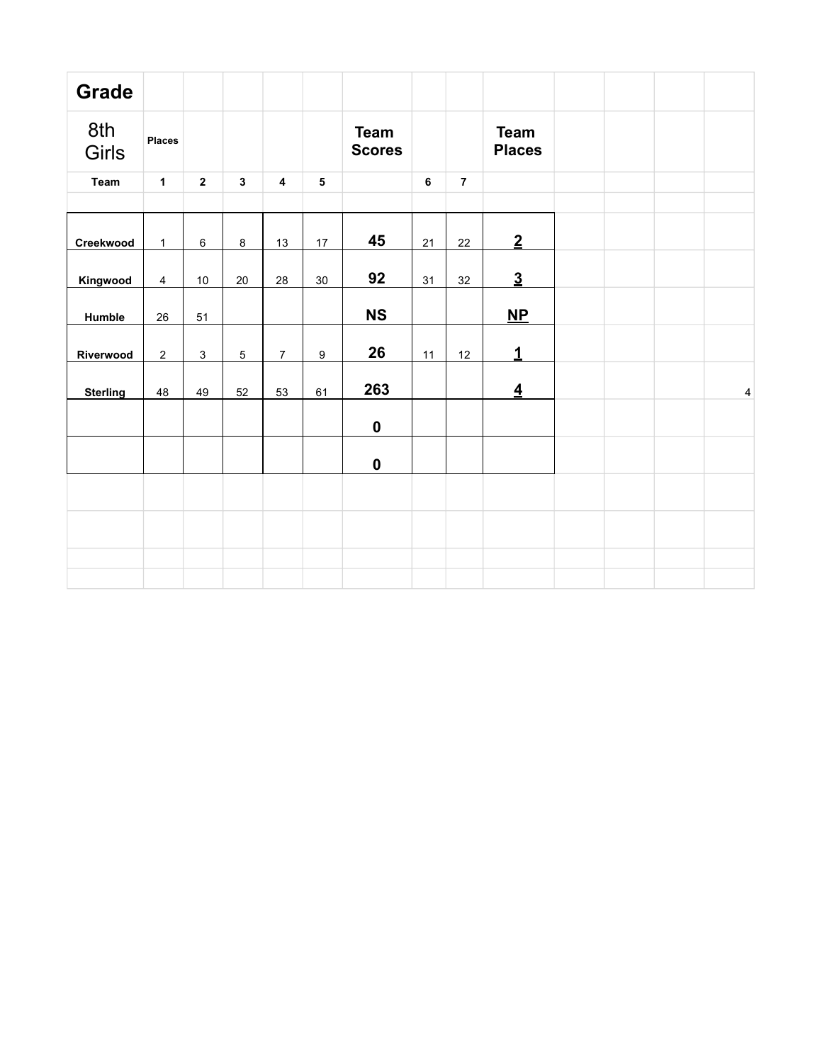| <b>Grade</b>    |                |                |              |                         |                  |                              |    |                |                              |  |           |
|-----------------|----------------|----------------|--------------|-------------------------|------------------|------------------------------|----|----------------|------------------------------|--|-----------|
| 8th<br>Girls    | <b>Places</b>  |                |              |                         |                  | <b>Team</b><br><b>Scores</b> |    |                | <b>Team</b><br><b>Places</b> |  |           |
| Team            | $\mathbf{1}$   | $\overline{2}$ | $\mathbf{3}$ | $\overline{\mathbf{4}}$ | $5\phantom{a}$   |                              | 6  | $\overline{7}$ |                              |  |           |
|                 |                |                |              |                         |                  |                              |    |                |                              |  |           |
| Creekwood       | $\mathbf{1}$   | $\,6\,$        | $\bf 8$      | 13                      | 17               | 45                           | 21 | 22             | $\overline{2}$               |  |           |
| Kingwood        | 4              | $10$           | $20\,$       | 28                      | 30               | 92                           | 31 | 32             | $\underline{3}$              |  |           |
| Humble          | 26             | 51             |              |                         |                  | <b>NS</b>                    |    |                | $\mathbf{NP}$                |  |           |
| Riverwood       | $\overline{c}$ | $\mathbf{3}$   | 5            | $\overline{7}$          | $\boldsymbol{9}$ | 26                           | 11 | 12             | $\mathbf{1}$                 |  |           |
| <b>Sterling</b> | 48             | 49             | 52           | 53                      | 61               | 263                          |    |                | $\overline{4}$               |  | $\pmb{4}$ |
|                 |                |                |              |                         |                  | $\mathbf 0$                  |    |                |                              |  |           |
|                 |                |                |              |                         |                  | $\pmb{0}$                    |    |                |                              |  |           |
|                 |                |                |              |                         |                  |                              |    |                |                              |  |           |
|                 |                |                |              |                         |                  |                              |    |                |                              |  |           |
|                 |                |                |              |                         |                  |                              |    |                |                              |  |           |
|                 |                |                |              |                         |                  |                              |    |                |                              |  |           |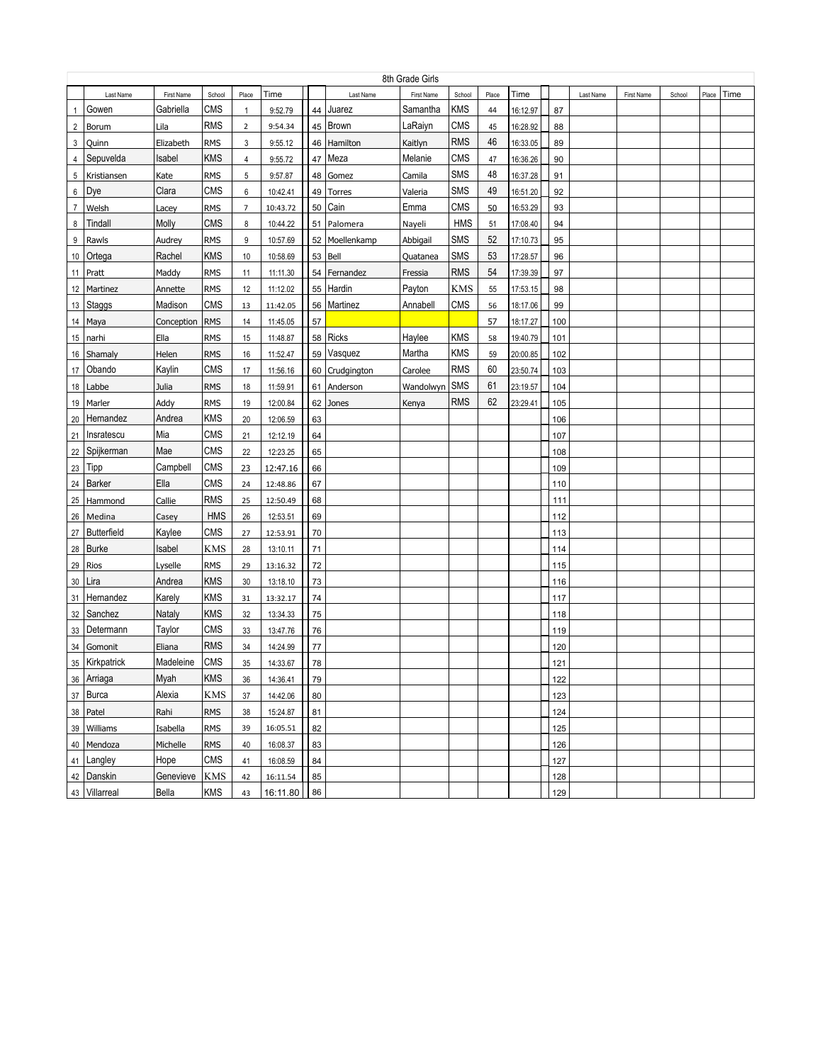|                |                    |            |            |                |          |    |              | 8th Grade Girls |            |       |          |     |           |            |        |       |      |
|----------------|--------------------|------------|------------|----------------|----------|----|--------------|-----------------|------------|-------|----------|-----|-----------|------------|--------|-------|------|
|                | Last Name          | First Name | School     | Place          | Time     |    | Last Name    | First Name      | School     | Place | Time     |     | Last Name | First Name | School | Place | Time |
| $\mathbf{1}$   | Gowen              | Gabriella  | <b>CMS</b> | -1             | 9:52.79  | 44 | Juarez       | Samantha        | <b>KMS</b> | 44    | 16:12.97 | 87  |           |            |        |       |      |
| $\overline{2}$ | Borum              | Lila       | <b>RMS</b> | $\overline{2}$ | 9:54.34  | 45 | Brown        | LaRaiyn         | <b>CMS</b> | 45    | 16:28.92 | 88  |           |            |        |       |      |
| 3              | Quinn              | Elizabeth  | <b>RMS</b> | 3              | 9:55.12  | 46 | Hamilton     | Kaitlyn         | <b>RMS</b> | 46    | 16:33.05 | 89  |           |            |        |       |      |
| 4              | Sepuvelda          | Isabel     | <b>KMS</b> | 4              | 9:55.72  | 47 | Meza         | Melanie         | <b>CMS</b> | 47    | 16:36.26 | 90  |           |            |        |       |      |
| 5              | Kristiansen        | Kate       | <b>RMS</b> | 5              | 9:57.87  | 48 | Gomez        | Camila          | SMS        | 48    | 16:37.28 | 91  |           |            |        |       |      |
| 6              | Dye                | Clara      | <b>CMS</b> | 6              | 10:42.41 | 49 | Torres       | Valeria         | SMS        | 49    | 16:51.20 | 92  |           |            |        |       |      |
| $\overline{7}$ | Welsh              | Lacey      | <b>RMS</b> | $\overline{7}$ | 10:43.72 | 50 | Cain         | Emma            | <b>CMS</b> | 50    | 16:53.29 | 93  |           |            |        |       |      |
| 8              | Tindall            | Molly      | <b>CMS</b> | 8              | 10:44.22 | 51 | Palomera     | Nayeli          | <b>HMS</b> | 51    | 17:08.40 | 94  |           |            |        |       |      |
| 9              | Rawls              | Audrey     | <b>RMS</b> | 9              | 10:57.69 | 52 | Moellenkamp  | Abbigail        | SMS        | 52    | 17:10.73 | 95  |           |            |        |       |      |
| 10             | Ortega             | Rachel     | <b>KMS</b> | 10             | 10:58.69 | 53 | Bell         | Quatanea        | SMS        | 53    | 17:28.57 | 96  |           |            |        |       |      |
| 11             | Pratt              | Maddy      | <b>RMS</b> | 11             | 11:11.30 | 54 | Fernandez    | Fressia         | <b>RMS</b> | 54    | 17:39.39 | 97  |           |            |        |       |      |
| 12             | Martinez           | Annette    | <b>RMS</b> | 12             | 11:12.02 | 55 | Hardin       | Payton          | <b>KMS</b> | 55    | 17:53.15 | 98  |           |            |        |       |      |
| 13             | Staggs             | Madison    | <b>CMS</b> | 13             | 11:42.05 | 56 | Martinez     | Annabell        | CMS        | 56    | 18:17.06 | 99  |           |            |        |       |      |
| 14             | Maya               | Conception | <b>RMS</b> | 14             | 11:45.05 | 57 |              |                 |            | 57    | 18:17.27 | 100 |           |            |        |       |      |
| 15             | narhi              | Ella       | <b>RMS</b> | 15             | 11:48.87 | 58 | <b>Ricks</b> | Haylee          | <b>KMS</b> | 58    | 19:40.79 | 101 |           |            |        |       |      |
| 16             | Shamaly            | Helen      | <b>RMS</b> | 16             | 11:52.47 | 59 | Vasquez      | Martha          | <b>KMS</b> | 59    | 20:00.85 | 102 |           |            |        |       |      |
| 17             | Obando             | Kaylin     | <b>CMS</b> | 17             | 11:56.16 | 60 | Crudgington  | Carolee         | <b>RMS</b> | 60    | 23:50.74 | 103 |           |            |        |       |      |
| 18             | Labbe              | Julia      | <b>RMS</b> | 18             | 11:59.91 | 61 | Anderson     | Wandolwyn       | SMS        | 61    | 23:19.57 | 104 |           |            |        |       |      |
| 19             | Marler             | Addy       | <b>RMS</b> | 19             | 12:00.84 | 62 | Jones        | Kenya           | <b>RMS</b> | 62    | 23:29.41 | 105 |           |            |        |       |      |
| 20             | Hernandez          | Andrea     | KMS        | 20             | 12:06.59 | 63 |              |                 |            |       |          | 106 |           |            |        |       |      |
| 21             | Insratescu         | Mia        | CMS        | 21             | 12:12.19 | 64 |              |                 |            |       |          | 107 |           |            |        |       |      |
| 22             | Spijkerman         | Mae        | CMS        | 22             | 12:23.25 | 65 |              |                 |            |       |          | 108 |           |            |        |       |      |
| 23             | Tipp               | Campbell   | <b>CMS</b> | 23             | 12:47.16 | 66 |              |                 |            |       |          | 109 |           |            |        |       |      |
| 24             | <b>Barker</b>      | Ella       | <b>CMS</b> | 24             | 12:48.86 | 67 |              |                 |            |       |          | 110 |           |            |        |       |      |
| 25             | Hammond            | Callie     | <b>RMS</b> | 25             | 12:50.49 | 68 |              |                 |            |       |          | 111 |           |            |        |       |      |
| 26             | Medina             | Casey      | <b>HMS</b> | 26             | 12:53.51 | 69 |              |                 |            |       |          | 112 |           |            |        |       |      |
| 27             | <b>Butterfield</b> | Kaylee     | <b>CMS</b> | 27             | 12:53.91 | 70 |              |                 |            |       |          | 113 |           |            |        |       |      |
| 28             | <b>Burke</b>       | Isabel     | <b>KMS</b> | 28             | 13:10.11 | 71 |              |                 |            |       |          | 114 |           |            |        |       |      |
| 29             | Rios               | Lyselle    | <b>RMS</b> | 29             | 13:16.32 | 72 |              |                 |            |       |          | 115 |           |            |        |       |      |
| 30             | Lira               | Andrea     | <b>KMS</b> | 30             | 13:18.10 | 73 |              |                 |            |       |          | 116 |           |            |        |       |      |
| 31             | Hernandez          | Karely     | <b>KMS</b> | 31             | 13:32.17 | 74 |              |                 |            |       |          | 117 |           |            |        |       |      |
| 32             | Sanchez            | Nataly     | <b>KMS</b> | 32             | 13:34.33 | 75 |              |                 |            |       |          | 118 |           |            |        |       |      |
|                | 33   Determann     | Taylor     | <b>CMS</b> | 33             | 13:47.76 | 76 |              |                 |            |       |          | 119 |           |            |        |       |      |
| 34             | Gomonit            | Eliana     | <b>RMS</b> | 34             | 14:24.99 | 77 |              |                 |            |       |          | 120 |           |            |        |       |      |
|                | 35 Kirkpatrick     | Madeleine  | <b>CMS</b> | 35             | 14:33.67 | 78 |              |                 |            |       |          | 121 |           |            |        |       |      |
|                | 36 Arriaga         | Myah       | KMS        | 36             | 14:36.41 | 79 |              |                 |            |       |          | 122 |           |            |        |       |      |
|                | 37 Burca           | Alexia     | KMS        | 37             | 14:42.06 | 80 |              |                 |            |       |          | 123 |           |            |        |       |      |
|                | 38 Patel           | Rahi       | <b>RMS</b> | 38             | 15:24.87 | 81 |              |                 |            |       |          | 124 |           |            |        |       |      |
|                | 39 Williams        | Isabella   | <b>RMS</b> | 39             | 16:05.51 | 82 |              |                 |            |       |          | 125 |           |            |        |       |      |
|                | 40 Mendoza         | Michelle   | <b>RMS</b> | 40             | 16:08.37 | 83 |              |                 |            |       |          | 126 |           |            |        |       |      |
|                | 41 Langley         | Hope       | <b>CMS</b> | 41             | 16:08.59 | 84 |              |                 |            |       |          | 127 |           |            |        |       |      |
|                | 42 Danskin         | Genevieve  | KMS        | 42             | 16:11.54 | 85 |              |                 |            |       |          | 128 |           |            |        |       |      |
|                | 43 Villarreal      | Bella      | KMS        | 43             | 16:11.80 | 86 |              |                 |            |       |          | 129 |           |            |        |       |      |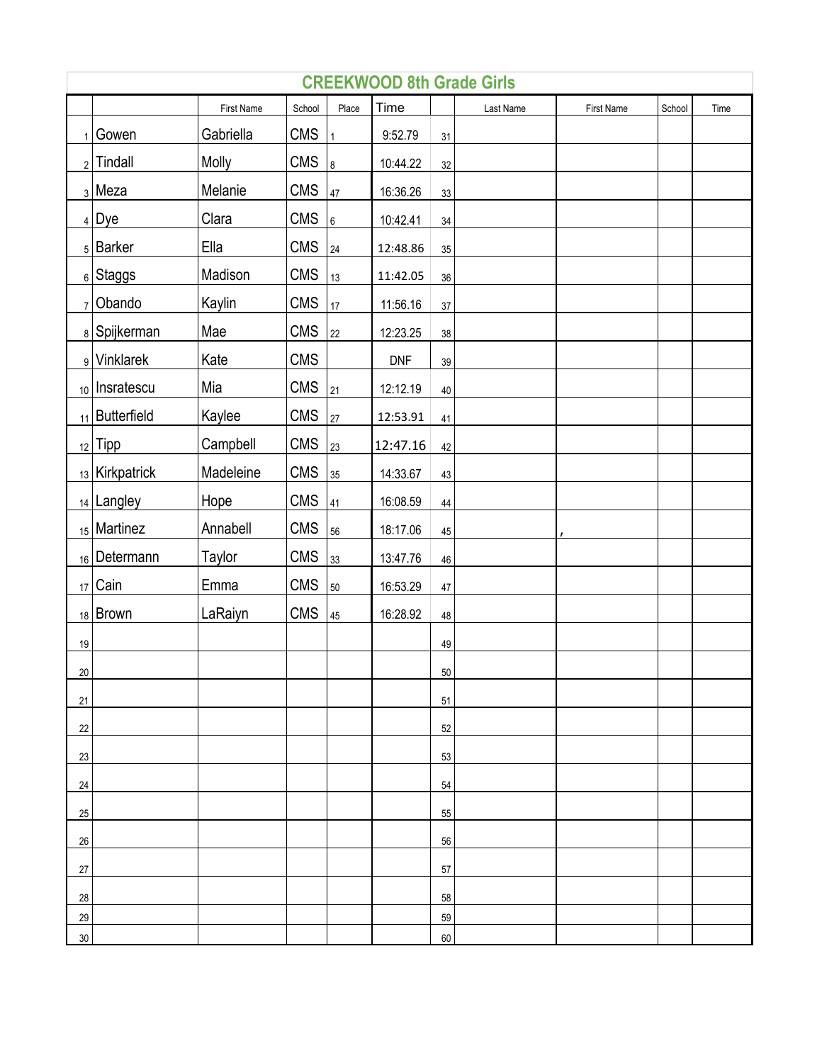|              | <b>CREEKWOOD 8th Grade Girls</b> |                   |            |                 |            |        |           |                   |        |      |  |  |  |
|--------------|----------------------------------|-------------------|------------|-----------------|------------|--------|-----------|-------------------|--------|------|--|--|--|
|              |                                  | <b>First Name</b> | School     | Place           | Time       |        | Last Name | <b>First Name</b> | School | Time |  |  |  |
| $\mathbf{1}$ | Gowen                            | Gabriella         | <b>CMS</b> | $\mathbf{1}$    | 9:52.79    | 31     |           |                   |        |      |  |  |  |
|              | $2$ Tindall                      | Molly             | <b>CMS</b> | 8               | 10:44.22   | 32     |           |                   |        |      |  |  |  |
|              | $3$ Meza                         | Melanie           | <b>CMS</b> | 47              | 16:36.26   | 33     |           |                   |        |      |  |  |  |
|              | $_4$ Dye                         | Clara             | <b>CMS</b> | $6\overline{6}$ | 10:42.41   | 34     |           |                   |        |      |  |  |  |
|              | $5$ Barker                       | Ella              | CMS        | 24              | 12:48.86   | 35     |           |                   |        |      |  |  |  |
|              | 6 Staggs                         | Madison           | <b>CMS</b> | 13              | 11:42.05   | 36     |           |                   |        |      |  |  |  |
|              | $7$ Obando                       | Kaylin            | <b>CMS</b> | 17              | 11:56.16   | 37     |           |                   |        |      |  |  |  |
|              | 8 Spijkerman                     | Mae               | <b>CMS</b> | 22              | 12:23.25   | 38     |           |                   |        |      |  |  |  |
|              | 9 Vinklarek                      | Kate              | CMS        |                 | <b>DNF</b> | 39     |           |                   |        |      |  |  |  |
|              | 10   Insratescu                  | Mia               | <b>CMS</b> | 21              | 12:12.19   | 40     |           |                   |        |      |  |  |  |
|              | $_{11}$   Butterfield            | Kaylee            | CMS        | 27              | 12:53.91   | 41     |           |                   |        |      |  |  |  |
|              | $12$ Tipp                        | Campbell          | <b>CMS</b> | 23              | 12:47.16   | 42     |           |                   |        |      |  |  |  |
|              | $_{13}$ Kirkpatrick              | Madeleine         | CMS        | 35              | 14:33.67   | 43     |           |                   |        |      |  |  |  |
|              | 14 Langley                       | Hope              | <b>CMS</b> | 41              | 16:08.59   | 44     |           |                   |        |      |  |  |  |
|              | 15 Martinez                      | Annabell          | CMS        | 56              | 18:17.06   | 45     |           |                   |        |      |  |  |  |
|              | 16 Determann                     | Taylor            | <b>CMS</b> | 33              | 13:47.76   | 46     |           |                   |        |      |  |  |  |
|              | $17$ Cain                        | Emma              | CMS        | 50              | 16:53.29   | 47     |           |                   |        |      |  |  |  |
|              | 18 Brown                         | LaRaiyn           | <b>CMS</b> | 45              | 16:28.92   | 48     |           |                   |        |      |  |  |  |
| 19           |                                  |                   |            |                 |            | 49     |           |                   |        |      |  |  |  |
| $20\,$       |                                  |                   |            |                 |            | $50\,$ |           |                   |        |      |  |  |  |
| 21           |                                  |                   |            |                 |            | 51     |           |                   |        |      |  |  |  |
| 22           |                                  |                   |            |                 |            | 52     |           |                   |        |      |  |  |  |
| 23           |                                  |                   |            |                 |            | 53     |           |                   |        |      |  |  |  |
| 24           |                                  |                   |            |                 |            | 54     |           |                   |        |      |  |  |  |
| 25           |                                  |                   |            |                 |            | 55     |           |                   |        |      |  |  |  |
| $26\,$       |                                  |                   |            |                 |            | 56     |           |                   |        |      |  |  |  |
| 27           |                                  |                   |            |                 |            | 57     |           |                   |        |      |  |  |  |
| 28           |                                  |                   |            |                 |            | 58     |           |                   |        |      |  |  |  |
| 29           |                                  |                   |            |                 |            | 59     |           |                   |        |      |  |  |  |
| $30\,$       |                                  |                   |            |                 |            | 60     |           |                   |        |      |  |  |  |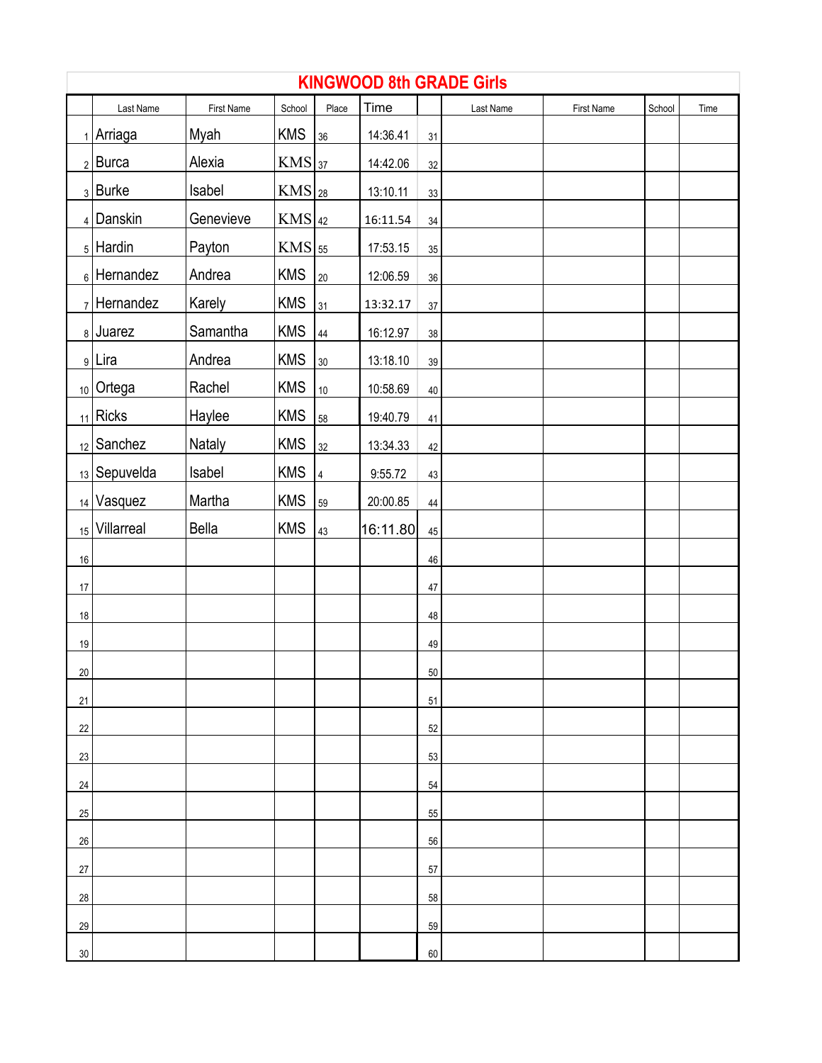|        |                   |            |                     |           |          | <b>KINGWOOD 8th GRADE Girls</b> |           |            |        |      |  |  |  |  |  |  |  |  |
|--------|-------------------|------------|---------------------|-----------|----------|---------------------------------|-----------|------------|--------|------|--|--|--|--|--|--|--|--|
|        | Last Name         | First Name | School              | Place     | Time     |                                 | Last Name | First Name | School | Time |  |  |  |  |  |  |  |  |
|        | 1 Arriaga         | Myah       | <b>KMS</b>          | 36        | 14:36.41 | 31                              |           |            |        |      |  |  |  |  |  |  |  |  |
|        | $2$ Burca         | Alexia     | $KMS$ <sub>37</sub> |           | 14:42.06 | $32\,$                          |           |            |        |      |  |  |  |  |  |  |  |  |
|        | $3$ Burke         | Isabel     | $KMS$ <sub>28</sub> |           | 13:10.11 | 33                              |           |            |        |      |  |  |  |  |  |  |  |  |
|        | $_4$ Danskin      | Genevieve  | $KMS _{42}$         |           | 16:11.54 | $34\,$                          |           |            |        |      |  |  |  |  |  |  |  |  |
|        | $_5$ Hardin       | Payton     | $KMS$ 55            |           | 17:53.15 | 35                              |           |            |        |      |  |  |  |  |  |  |  |  |
|        | $_6$ Hernandez    | Andrea     | <b>KMS</b>          | 20        | 12:06.59 | $36\,$                          |           |            |        |      |  |  |  |  |  |  |  |  |
|        | $7$ Hernandez     | Karely     | <b>KMS</b>          | 31        | 13:32.17 | 37                              |           |            |        |      |  |  |  |  |  |  |  |  |
|        | $8$ Juarez        | Samantha   | <b>KMS</b>          | 44        | 16:12.97 | 38                              |           |            |        |      |  |  |  |  |  |  |  |  |
|        | 9 Lira            | Andrea     | <b>KMS</b>          | 30        | 13:18.10 | 39                              |           |            |        |      |  |  |  |  |  |  |  |  |
|        | $_{10}$ Ortega    | Rachel     | <b>KMS</b>          | $10$      | 10:58.69 | 40                              |           |            |        |      |  |  |  |  |  |  |  |  |
|        | $_{11}$ Ricks     | Haylee     | <b>KMS</b>          | 58        | 19:40.79 | 41                              |           |            |        |      |  |  |  |  |  |  |  |  |
|        | $_{12}$ Sanchez   | Nataly     | <b>KMS</b>          | 32        | 13:34.33 | 42                              |           |            |        |      |  |  |  |  |  |  |  |  |
|        | $_{13}$ Sepuvelda | Isabel     | <b>KMS</b>          | $\pmb{4}$ | 9:55.72  | 43                              |           |            |        |      |  |  |  |  |  |  |  |  |
|        | $_{14}$ Vasquez   | Martha     | <b>KMS</b>          | 59        | 20:00.85 | 44                              |           |            |        |      |  |  |  |  |  |  |  |  |
|        | 15 Villarreal     | Bella      | <b>KMS</b>          | 43        | 16:11.80 | 45                              |           |            |        |      |  |  |  |  |  |  |  |  |
| $16\,$ |                   |            |                     |           |          | 46                              |           |            |        |      |  |  |  |  |  |  |  |  |
| $17\,$ |                   |            |                     |           |          | 47                              |           |            |        |      |  |  |  |  |  |  |  |  |
| $18\,$ |                   |            |                     |           |          | 48                              |           |            |        |      |  |  |  |  |  |  |  |  |
| $19$   |                   |            |                     |           |          | 49                              |           |            |        |      |  |  |  |  |  |  |  |  |
| 20     |                   |            |                     |           |          | 50                              |           |            |        |      |  |  |  |  |  |  |  |  |
| 21     |                   |            |                     |           |          | 51                              |           |            |        |      |  |  |  |  |  |  |  |  |
| 22     |                   |            |                     |           |          | 52                              |           |            |        |      |  |  |  |  |  |  |  |  |
| 23     |                   |            |                     |           |          | 53                              |           |            |        |      |  |  |  |  |  |  |  |  |
| 24     |                   |            |                     |           |          | 54                              |           |            |        |      |  |  |  |  |  |  |  |  |
| 25     |                   |            |                     |           |          | 55                              |           |            |        |      |  |  |  |  |  |  |  |  |
| 26     |                   |            |                     |           |          | 56                              |           |            |        |      |  |  |  |  |  |  |  |  |
| 27     |                   |            |                     |           |          | 57                              |           |            |        |      |  |  |  |  |  |  |  |  |
| 28     |                   |            |                     |           |          | 58                              |           |            |        |      |  |  |  |  |  |  |  |  |
| 29     |                   |            |                     |           |          | 59                              |           |            |        |      |  |  |  |  |  |  |  |  |
| 30     |                   |            |                     |           |          | 60                              |           |            |        |      |  |  |  |  |  |  |  |  |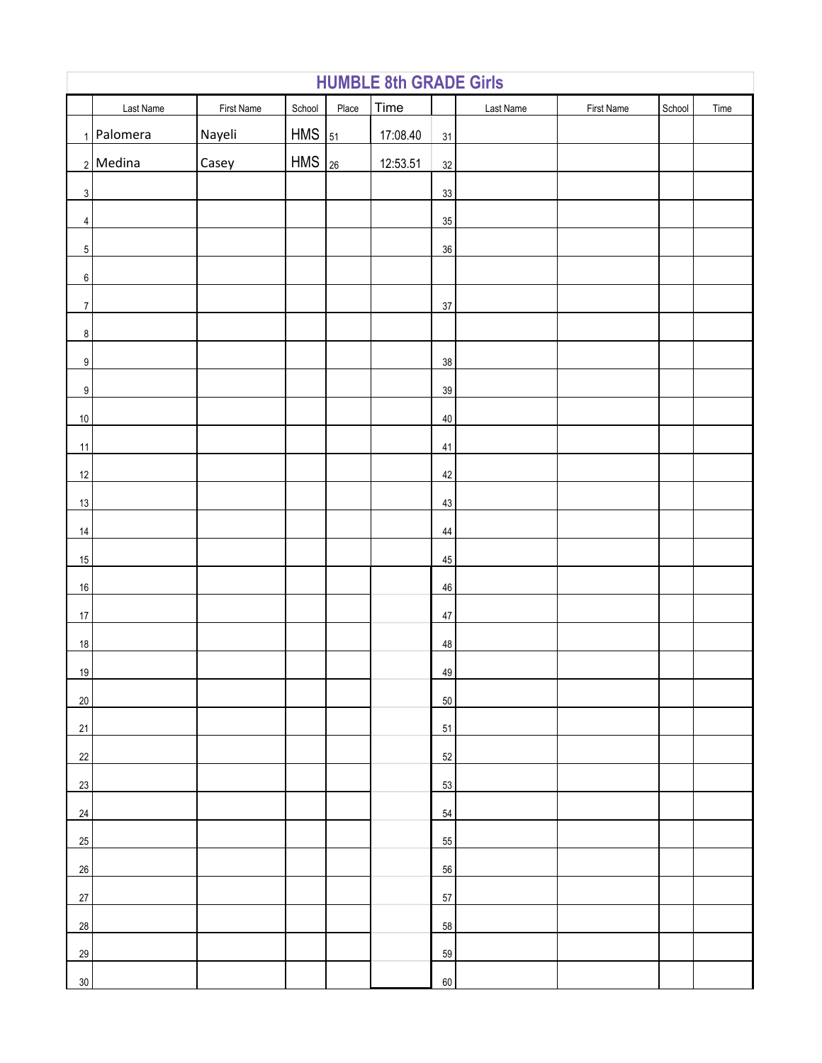|                  | Last Name      | First Name | School     | Place | Time     |        | Last Name | First Name | School | Time |
|------------------|----------------|------------|------------|-------|----------|--------|-----------|------------|--------|------|
|                  | $1$   Palomera | Nayeli     | <b>HMS</b> | 51    | 17:08.40 | 31     |           |            |        |      |
|                  | $2$ Medina     | Casey      | <b>HMS</b> | 26    | 12:53.51 | $32\,$ |           |            |        |      |
| $\mathbf{3}$     |                |            |            |       |          | 33     |           |            |        |      |
| $\overline{4}$   |                |            |            |       |          | 35     |           |            |        |      |
| 5 <sup>1</sup>   |                |            |            |       |          | 36     |           |            |        |      |
| 6                |                |            |            |       |          |        |           |            |        |      |
| $\boldsymbol{7}$ |                |            |            |       |          | $37\,$ |           |            |        |      |
| 8                |                |            |            |       |          |        |           |            |        |      |
| $9\,$            |                |            |            |       |          | 38     |           |            |        |      |
| $9\,$            |                |            |            |       |          | $39\,$ |           |            |        |      |
| $10\,$           |                |            |            |       |          | $40\,$ |           |            |        |      |
| $11$             |                |            |            |       |          | 41     |           |            |        |      |
| 12               |                |            |            |       |          | $42\,$ |           |            |        |      |
| 13               |                |            |            |       |          | 43     |           |            |        |      |
| 14               |                |            |            |       |          | $44$   |           |            |        |      |
| 15               |                |            |            |       |          | $45\,$ |           |            |        |      |
| $16\,$           |                |            |            |       |          | $46\,$ |           |            |        |      |
| $17\,$           |                |            |            |       |          | $47\,$ |           |            |        |      |
| $18\,$           |                |            |            |       |          | 48     |           |            |        |      |
| 19               |                |            |            |       |          | 49     |           |            |        |      |
| $20\,$           |                |            |            |       |          | $50\,$ |           |            |        |      |
| 21               |                |            |            |       |          | 51     |           |            |        |      |
| 22               |                |            |            |       |          | 52     |           |            |        |      |
| 23               |                |            |            |       |          | 53     |           |            |        |      |
| 24               |                |            |            |       |          | 54     |           |            |        |      |
| 25               |                |            |            |       |          | 55     |           |            |        |      |
| 26               |                |            |            |       |          | 56     |           |            |        |      |
| $27\,$           |                |            |            |       |          | 57     |           |            |        |      |
| 28               |                |            |            |       |          | 58     |           |            |        |      |
| 29               |                |            |            |       |          | 59     |           |            |        |      |
| 30               |                |            |            |       |          | $60\,$ |           |            |        |      |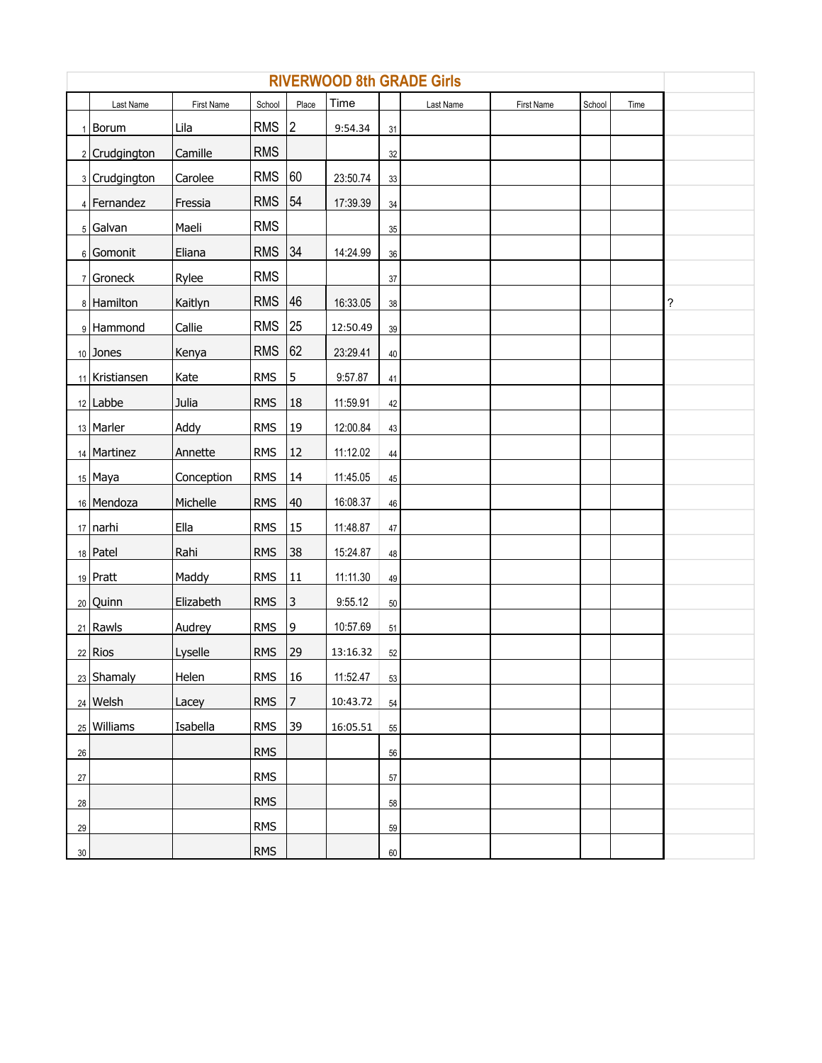|        | <b>RIVERWOOD 8th GRADE Girls</b> |            |            |           |          |        |           |            |        |      |   |  |  |  |
|--------|----------------------------------|------------|------------|-----------|----------|--------|-----------|------------|--------|------|---|--|--|--|
|        | Last Name                        | First Name | School     | Place     | Time     |        | Last Name | First Name | School | Time |   |  |  |  |
|        | 1 Borum                          | Lila       | <b>RMS</b> | 2         | 9:54.34  | 31     |           |            |        |      |   |  |  |  |
|        | 2 Crudgington                    | Camille    | <b>RMS</b> |           |          | 32     |           |            |        |      |   |  |  |  |
|        | 3 Crudgington                    | Carolee    | <b>RMS</b> | 60        | 23:50.74 | 33     |           |            |        |      |   |  |  |  |
|        | 4 Fernandez                      | Fressia    | <b>RMS</b> | 54        | 17:39.39 | 34     |           |            |        |      |   |  |  |  |
|        | $5$ Galvan                       | Maeli      | <b>RMS</b> |           |          | 35     |           |            |        |      |   |  |  |  |
|        | 6 Gomonit                        | Eliana     | RMS 34     |           | 14:24.99 | 36     |           |            |        |      |   |  |  |  |
|        | $7$ Groneck                      | Rylee      | <b>RMS</b> |           |          | 37     |           |            |        |      |   |  |  |  |
|        | 8 Hamilton                       | Kaitlyn    | <b>RMS</b> | 46        | 16:33.05 | 38     |           |            |        |      | ? |  |  |  |
|        | 9 Hammond                        | Callie     | <b>RMS</b> | 25        | 12:50.49 | 39     |           |            |        |      |   |  |  |  |
|        | $10$ Jones                       | Kenya      | <b>RMS</b> | 62        | 23:29.41 | 40     |           |            |        |      |   |  |  |  |
|        | 11 Kristiansen                   | Kate       | <b>RMS</b> | 5         | 9:57.87  | 41     |           |            |        |      |   |  |  |  |
|        | $12$ Labbe                       | Julia      | <b>RMS</b> | 18        | 11:59.91 | 42     |           |            |        |      |   |  |  |  |
|        | 13 Marler                        | Addy       | <b>RMS</b> | 19        | 12:00.84 | 43     |           |            |        |      |   |  |  |  |
|        | 14 Martinez                      | Annette    | <b>RMS</b> | <b>12</b> | 11:12.02 | 44     |           |            |        |      |   |  |  |  |
|        | $15$ Maya                        | Conception | <b>RMS</b> | 14        | 11:45.05 | 45     |           |            |        |      |   |  |  |  |
|        | 16 Mendoza                       | Michelle   | <b>RMS</b> | 40        | 16:08.37 | 46     |           |            |        |      |   |  |  |  |
|        | $17$ narhi                       | Ella       | <b>RMS</b> | 15        | 11:48.87 | 47     |           |            |        |      |   |  |  |  |
|        | $18$ Patel                       | Rahi       | <b>RMS</b> | 38        | 15:24.87 | 48     |           |            |        |      |   |  |  |  |
|        | $19$ Pratt                       | Maddy      | <b>RMS</b> | 11        | 11:11.30 | 49     |           |            |        |      |   |  |  |  |
|        | 20 Quinn                         | Elizabeth  | <b>RMS</b> | 3         | 9:55.12  | 50     |           |            |        |      |   |  |  |  |
|        | $21$ Rawls                       | Audrey     | <b>RMS</b> | 9         | 10:57.69 | 51     |           |            |        |      |   |  |  |  |
|        | $22$ Rios                        | Lyselle    | <b>RMS</b> | 29        | 13:16.32 | 52     |           |            |        |      |   |  |  |  |
|        | 23 Shamaly                       | Helen      | <b>RMS</b> | 16        | 11:52.47 | 53     |           |            |        |      |   |  |  |  |
|        | $24$ Welsh                       | Lacey      | <b>RMS</b> | 17        | 10:43.72 | 54     |           |            |        |      |   |  |  |  |
|        | $25$ Williams                    | Isabella   | <b>RMS</b> | 39        | 16:05.51 | 55     |           |            |        |      |   |  |  |  |
| $26\,$ |                                  |            | <b>RMS</b> |           |          | 56     |           |            |        |      |   |  |  |  |
| $27\,$ |                                  |            | <b>RMS</b> |           |          | 57     |           |            |        |      |   |  |  |  |
| 28     |                                  |            | <b>RMS</b> |           |          | 58     |           |            |        |      |   |  |  |  |
| 29     |                                  |            | <b>RMS</b> |           |          | 59     |           |            |        |      |   |  |  |  |
| 30     |                                  |            | <b>RMS</b> |           |          | $60\,$ |           |            |        |      |   |  |  |  |